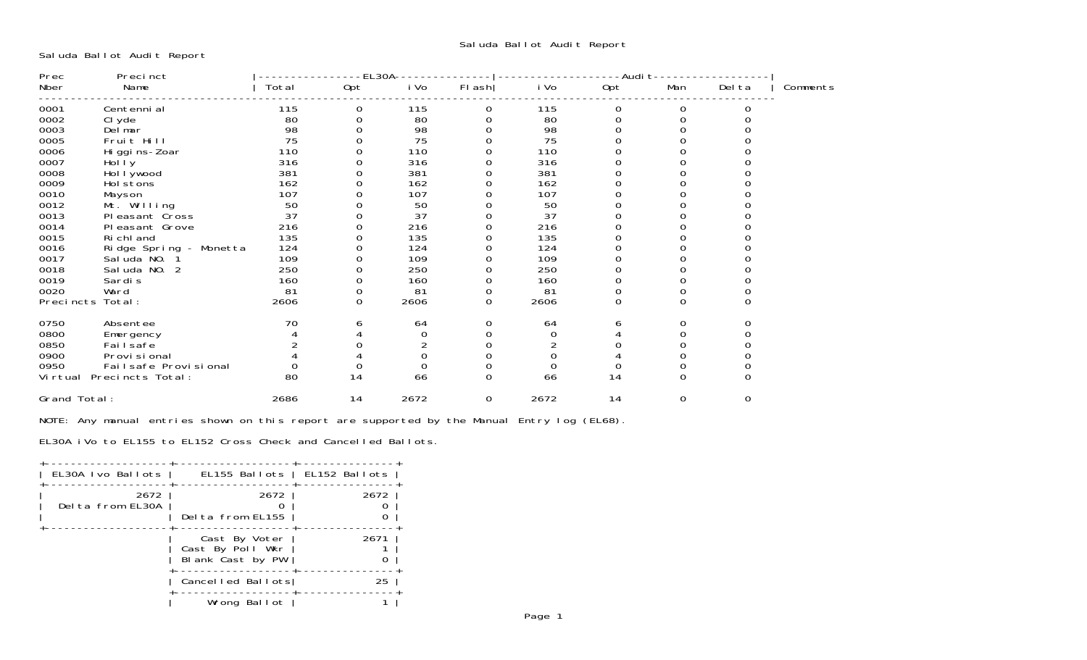Saluda Ballot Audit Report

| Prec             | Precinct               |       | EL30A |          |          | Audi t |     |          |        |          |
|------------------|------------------------|-------|-------|----------|----------|--------|-----|----------|--------|----------|
| Nber             | Name                   | Total | Opt   | i Vo     | FI ash   | i Vo   | Opt | Man      | Del ta | Comments |
| 0001             | Centenni al            | 115   | 0     | 115      | 0        | 115    | 0   | 0        |        |          |
| 0002             | CI yde                 | 80    |       | 80       |          | 80     |     |          |        |          |
| 0003             | Del mar                | 98    |       | 98       |          | 98     |     |          |        |          |
| 0005             | Fruit Hill             | 75    |       | 75       |          | 75     |     |          |        |          |
| 0006             | Hi ggi ns-Zoar         | 110   |       | 110      |          | 110    |     |          |        |          |
| 0007             | Holly                  | 316   |       | 316      |          | 316    |     |          |        |          |
| 0008             | Hol I ywood            | 381   |       | 381      |          | 381    |     |          |        |          |
| 0009             | Hol stons              | 162   |       | 162      |          | 162    |     |          |        |          |
| 0010             | Mayson                 | 107   |       | 107      |          | 107    |     |          |        |          |
| 0012             | Mt. Willing            | 50    |       | 50       |          | 50     |     |          |        |          |
| 0013             | Pleasant Cross         | 37    |       | 37       |          | 37     |     |          |        |          |
| 0014             | Pleasant Grove         | 216   |       | 216      |          | 216    |     |          |        |          |
| 0015             | Ri chl and             | 135   |       | 135      |          | 135    |     |          |        |          |
| 0016             | Ridge Spring - Monetta | 124   |       | 124      |          | 124    |     |          |        |          |
| 0017             | Sal uda NO.            | 109   |       | 109      |          | 109    |     |          |        |          |
| 0018             | Sal uda NO. 2          | 250   |       | 250      |          | 250    |     |          |        |          |
| 0019             | Sardi s                | 160   | 0     | 160      | 0        | 160    |     |          |        |          |
| 0020             | Ward                   | 81    |       | 81       | 0        | 81     | 0   | 0        |        |          |
| Precincts Total: |                        | 2606  | 0     | 2606     | 0        | 2606   | 0   | 0        |        |          |
| 0750             | Absentee               | 70    |       | 64       | 0        | 64     | 6   | 0        |        |          |
| 0800             | Emergency              |       |       | 0        | $\Omega$ | 0      |     |          |        |          |
| 0850             | Fai I safe             |       |       |          |          |        |     |          |        |          |
| 0900             | Provi si onal          |       |       | 0        |          |        |     |          |        |          |
| 0950             | Failsafe Provisional   |       |       | $\Omega$ |          | 0      |     |          |        |          |
| Vi rtual         | Precincts Total:       | 80    | 14    | 66       | $\Omega$ | 66     | 14  | $\Omega$ |        |          |
| Grand Total:     |                        | 2686  | 14    | 2672     | 0        | 2672   | 14  | 0        | 0      |          |

NOTE: Any manual entries shown on this report are supported by the Manual Entry log (EL68).

EL30A iVo to EL155 to EL152 Cross Check and Cancelled Ballots.

| EL30A Ivo Ballots        | EL155 Ballots   EL152 Ballots                         |      |
|--------------------------|-------------------------------------------------------|------|
| 2672<br>Delta from EL30A | 2672<br>Delta from EL155                              | 2672 |
|                          | Cast By Voter<br>Cast By Poll Wkr<br>Blank Cast by PW | 2671 |
|                          | Cancelled Ballots                                     | 25   |
|                          | Wrong Ballot                                          |      |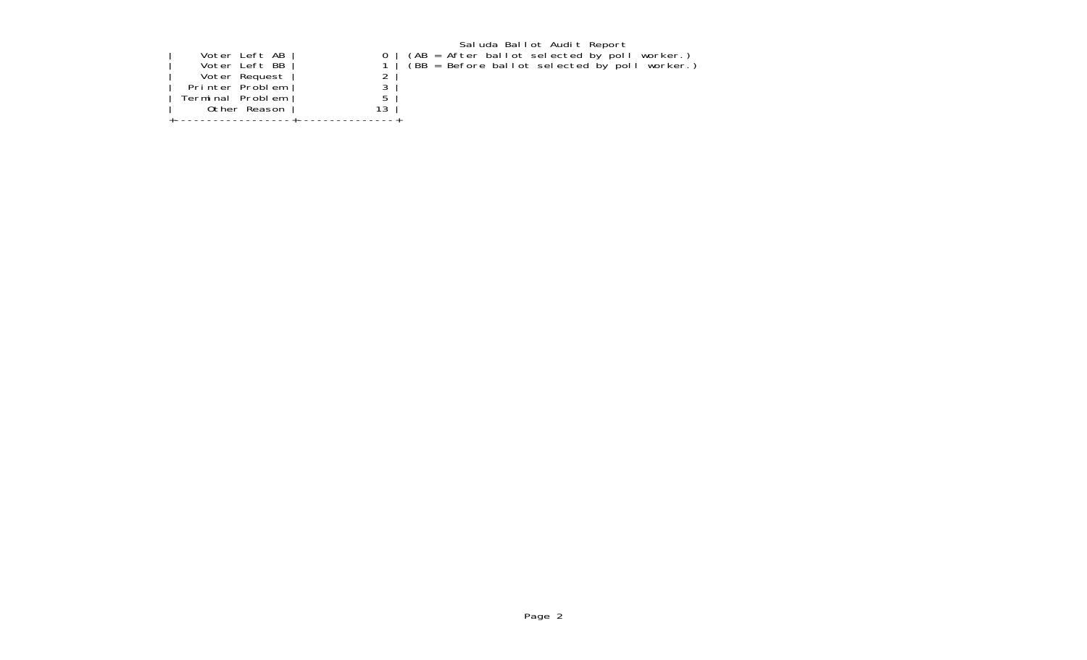|  |  | Voter Left AB<br>Voter Left BB<br>Voter Request<br>Printer Problem<br>Terminal Problem<br>Other Reason |  |  |
|--|--|--------------------------------------------------------------------------------------------------------|--|--|
|--|--|--------------------------------------------------------------------------------------------------------|--|--|

Saluda Ballot Audit Report | Voter Left AB | 0 | (AB = After ballot selected by poll worker.) | Voter Left BB | 1 | (BB = Before ballot selected by poll worker.)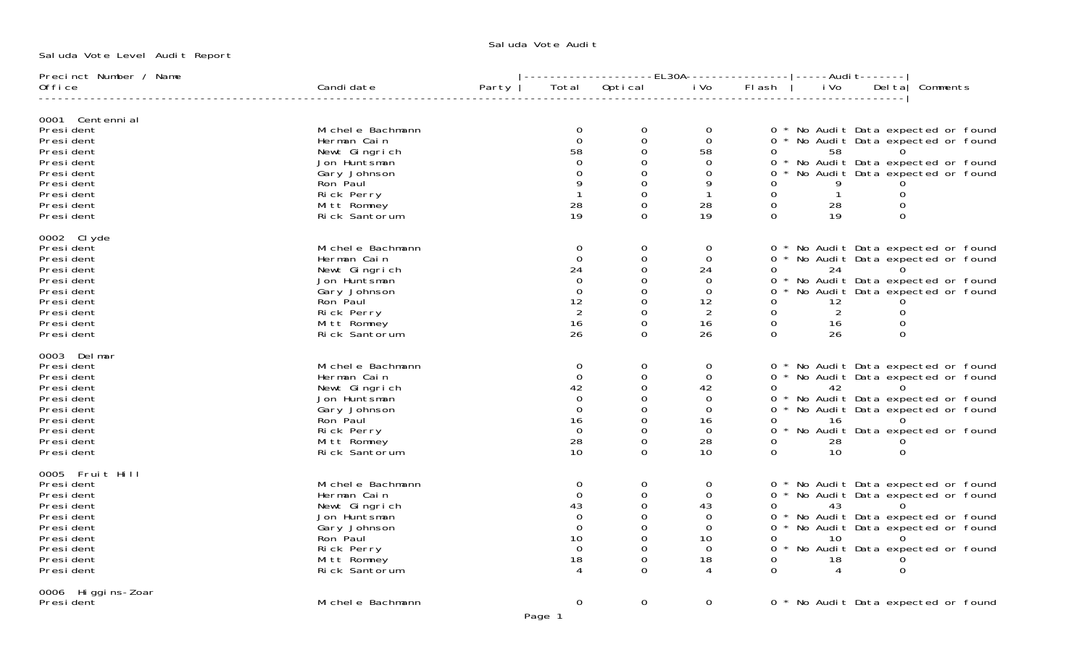Saluda Vote Level Audit Report

## Saluda Vote Audi†

| Precinct Number / Name |                    |       |             |             |                |              |                |                                     |          |  |
|------------------------|--------------------|-------|-------------|-------------|----------------|--------------|----------------|-------------------------------------|----------|--|
| 0ffi ce                | Candi date         | Party | Total       | Optical     | i Vo           | Flash        | i Vo           | Del tal                             | Comments |  |
| 0001 Centenni al       |                    |       |             |             |                |              |                |                                     |          |  |
| President              | Michele Bachmann   |       | $\mathbf 0$ | $\mathbf 0$ | $\overline{O}$ |              |                | 0 * No Audit Data expected or found |          |  |
| Presi dent             | Herman Cain        |       | $\Omega$    | $\mathbf 0$ | $\Omega$       |              |                | 0 * No Audit Data expected or found |          |  |
| Presi dent             | Newt Gingrich      |       | 58          | $\Omega$    | 58             | 0            | 58             |                                     |          |  |
| Presi dent             | Jon Huntsman       |       | $\Omega$    | 0           | $\Omega$       |              |                | * No Audit Data expected or found   |          |  |
| Presi dent             | Gary Johnson       |       |             | 0           | $\Omega$       | 0            |                | * No Audit Data expected or found   |          |  |
| Presi dent             | Ron Paul           |       |             | $\Omega$    | 9              |              |                |                                     |          |  |
| Presi dent             | Rick Perry         |       |             | 0           |                | 0            | $\overline{1}$ | $\mathbf 0$                         |          |  |
| Presi dent             | Mitt Romney        |       | 28          | 0           | 28             | $\mathbf 0$  | 28             | $\Omega$                            |          |  |
| Presi dent             | Rick Santorum      |       | 19          | 0           | 19             | $\Omega$     | 19             | $\Omega$                            |          |  |
| 0002 Clyde             |                    |       |             |             |                |              |                |                                     |          |  |
| President              | Mi chel e Bachmann |       | 0           | 0           | $\Omega$       |              |                | 0 * No Audit Data expected or found |          |  |
| Presi dent             | Herman Cain        |       | $\Omega$    | $\mathbf 0$ | $\Omega$       |              |                | 0 * No Audit Data expected or found |          |  |
| Presi dent             | Newt Gingrich      |       | 24          | 0           | 24             | 0            | 24             |                                     |          |  |
| Presi dent             | Jon Huntsman       |       | $\Omega$    | 0           | $\Omega$       |              |                | 0 * No Audit Data expected or found |          |  |
| Presi dent             | Gary Johnson       |       | $\Omega$    | 0           | $\Omega$       |              |                | * No Audit Data expected or found   |          |  |
| Presi dent             | Ron Paul           |       | 12          | 0           | 12             | 0            | 12             |                                     |          |  |
| Presi dent             | Rick Perry         |       | 2           | $\Omega$    | 2              | $\Omega$     | $\overline{2}$ | $\Omega$                            |          |  |
| Presi dent             | Mitt Romney        |       | 16          | 0           | 16             | $\mathsf{O}$ | 16             | 0                                   |          |  |
| Presi dent             | Rick Santorum      |       | 26          | $\Omega$    | 26             | $\Omega$     | 26             | $\Omega$                            |          |  |
| 0003 Delmar            |                    |       |             |             |                |              |                |                                     |          |  |
| President              | Mi chel e Bachmann |       | $\mathbf 0$ | $\mathbf 0$ | $\mathbf 0$    |              |                | 0 * No Audit Data expected or found |          |  |
| Presi dent             | Herman Cain        |       | $\Omega$    | 0           | $\mathbf 0$    |              |                | 0 * No Audit Data expected or found |          |  |
| Presi dent             | Newt Gingrich      |       | 42          | 0           | 42             | 0            | 42             | $\Omega$                            |          |  |
| Presi dent             | Jon Huntsman       |       | $\Omega$    | 0           | 0              |              |                | 0 * No Audit Data expected or found |          |  |
| Presi dent             | Gary Johnson       |       | $\Omega$    | 0           | $\Omega$       |              |                | 0 * No Audit Data expected or found |          |  |
| Presi dent             | Ron Paul           |       | 16          | 0           | 16             | 0            | 16             | $\Omega$                            |          |  |
| Presi dent             | Rick Perry         |       | $\Omega$    | 0           | $\Omega$       |              |                | 0 * No Audit Data expected or found |          |  |
| Presi dent             | Mitt Romney        |       | 28          | $\Omega$    | 28             | 0            | 28             |                                     |          |  |
| President              | Rick Santorum      |       | 10          | 0           | 10             | $\mathbf 0$  | 10             | $\Omega$                            |          |  |
| 0005 Fruit Hill        |                    |       |             |             |                |              |                |                                     |          |  |
| Presi dent             | Michele Bachmann   |       | $\Omega$    | 0           | $\Omega$       |              |                | 0 * No Audit Data expected or found |          |  |
| Presi dent             | Herman Cain        |       | $\Omega$    | 0           | $\mathbf 0$    |              |                | 0 * No Audit Data expected or found |          |  |
| Presi dent             | Newt Gingrich      |       | 43          | $\Omega$    | 43             | 0            | 43             |                                     |          |  |
| Presi dent             | Jon Huntsman       |       | $\Omega$    | 0           | $\Omega$       |              |                | * No Audit Data expected or found   |          |  |
| Presi dent             | Gary Johnson       |       | $\Omega$    | O           | $\Omega$       |              |                | 0 * No Audit Data expected or found |          |  |
| Presi dent             | Ron Paul           |       | 10          | 0           | 10             |              | 10             |                                     |          |  |
| Presi dent             | Rick Perry         |       | $\Omega$    | 0           | $\Omega$       |              |                | 0 * No Audit Data expected or found |          |  |
| Presi dent             | Mitt Romney        |       | 18          | 0           | 18             | 0            | 18             |                                     |          |  |
| Presi dent             | Rick Santorum      |       |             | $\Omega$    |                | $\Omega$     |                | $\Omega$                            |          |  |
| 0006 Higgins-Zoar      |                    |       |             |             |                |              |                |                                     |          |  |
| President              | Michele Bachmann   |       | 0           | $\mathbf 0$ | $\mathbf 0$    |              |                | 0 * No Audit Data expected or found |          |  |

Page 1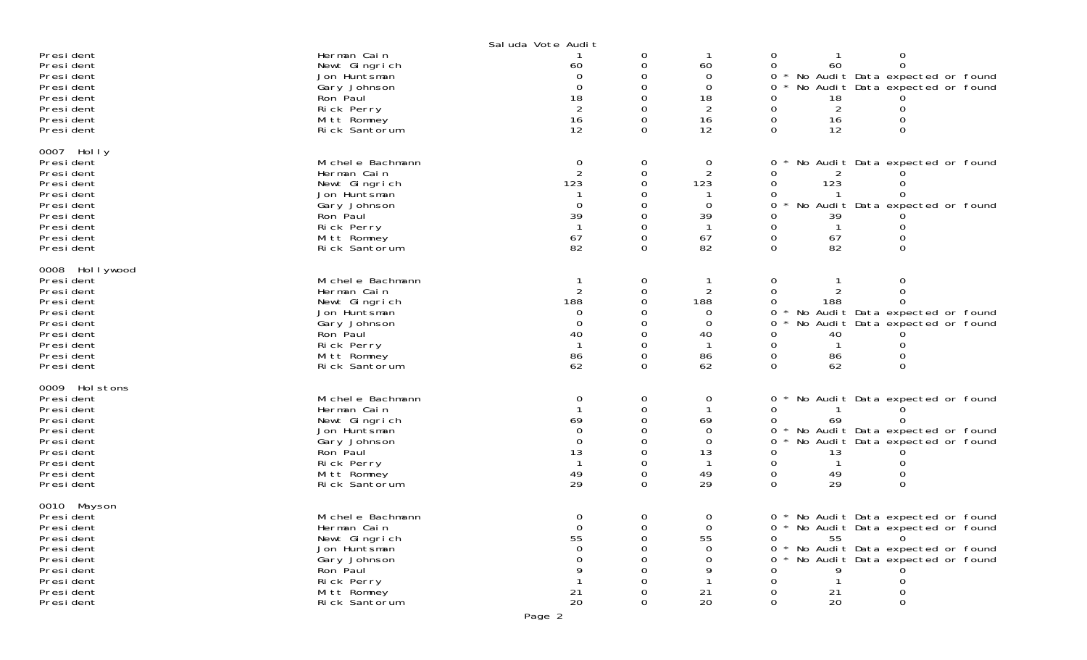|                                                                                                                                              |                                                                                                                                              | Sal uda Vote Audit                                              |                                                       |                                                         |                                                                                                                                                                                           |
|----------------------------------------------------------------------------------------------------------------------------------------------|----------------------------------------------------------------------------------------------------------------------------------------------|-----------------------------------------------------------------|-------------------------------------------------------|---------------------------------------------------------|-------------------------------------------------------------------------------------------------------------------------------------------------------------------------------------------|
| Presi dent<br>Presi dent<br>Presi dent<br>Presi dent<br>Presi dent<br>Presi dent<br>President<br>Presi dent                                  | Herman Cain<br>Newt Gingrich<br>Jon Huntsman<br>Gary Johnson<br>Ron Paul<br>Rick Perry<br>Mitt Romney<br>Rick Santorum                       | 60<br>$\Omega$<br>18<br>2<br>16<br>12                           | 0<br>0<br>0<br>0<br>0<br>0<br>0<br>0                  | 60<br>$\Omega$<br>0<br>18<br>$\overline{2}$<br>16<br>12 | 0<br>0<br>60<br>$\Omega$<br>0<br>No Audit Data expected or found<br>0<br>No Audit Data expected or found<br>0<br>18<br>0<br>2<br>0<br>0<br>16<br>12<br>0<br>$\Omega$                      |
| 0007 Holly<br>Presi dent<br>Presi dent<br>Presi dent<br>Presi dent<br>Presi dent<br>Presi dent<br>Presi dent<br>Presi dent<br>Presi dent     | Mi chel e Bachmann<br>Herman Cain<br>Newt Gingrich<br>Jon Huntsman<br>Gary Johnson<br>Ron Paul<br>Rick Perry<br>Mitt Romney<br>Rick Santorum | 0<br>2<br>123<br>$\Omega$<br>39<br>67<br>82                     | 0<br>$\mathbf 0$<br>0<br>0<br>0<br>0<br>0<br>$\Omega$ | 0<br>2<br>123<br>0<br>39<br>67<br>82                    | No Audit Data expected or found<br>0<br>0<br>123<br>0<br>No Audit Data expected or found<br>0<br>39<br>0<br>67<br>82<br>0                                                                 |
| 0008 Hollywood<br>Presi dent<br>Presi dent<br>Presi dent<br>Presi dent<br>Presi dent<br>Presi dent<br>Presi dent<br>Presi dent<br>Presi dent | Mi chel e Bachmann<br>Herman Cain<br>Newt Gingrich<br>Jon Huntsman<br>Gary Johnson<br>Ron Paul<br>Rick Perry<br>Mitt Romney<br>Rick Santorum | $\overline{2}$<br>188<br>$\Omega$<br>$\Omega$<br>40<br>86<br>62 | 0<br>0<br>0<br>0<br>0<br>0<br>0<br>$\Omega$           | 188<br>0<br>0<br>40<br>86<br>62                         | 0<br>Ω<br>$\Omega$<br>188<br>0<br>No Audit Data expected or found<br>No Audit Data expected or found<br>0<br>40<br>0<br>0<br>0<br>86<br>62<br>$\Omega$<br>0                               |
| 0009 Hol stons<br>Presi dent<br>Presi dent<br>Presi dent<br>Presi dent<br>Presi dent<br>Presi dent<br>Presi dent<br>Presi dent<br>Presi dent | Mi chel e Bachmann<br>Herman Cain<br>Newt Gingrich<br>Jon Huntsman<br>Gary Johnson<br>Ron Paul<br>Rick Perry<br>Mitt Romney<br>Rick Santorum | 0<br>69<br>$\Omega$<br>$\Omega$<br>13<br>49<br>29               | 0<br>0<br>0<br>0<br>0<br>0<br>0<br>$\Omega$           | 0<br>69<br>0<br>$\Omega$<br>13<br>49<br>29              | No Audit Data expected or found<br>0<br>0<br>69<br>0<br>No Audit Data expected or found<br>0<br>0<br>No Audit Data expected or found<br>13<br>0<br>0<br>49<br>29<br>$\Omega$<br>0         |
| 0010 Mayson<br>Presi dent<br>Presi dent<br>President<br>Presi dent<br>President<br>Presi dent<br>Presi dent<br>Presi dent<br>Presi dent      | Mi chel e Bachmann<br>Herman Cain<br>Newt Gingrich<br>Jon Huntsman<br>Gary Johnson<br>Ron Paul<br>Rick Perry<br>Mitt Romney<br>Rick Santorum | 0<br>$\Omega$<br>55<br>21<br>20                                 | 0<br>0<br>0<br>$\Omega$                               | $\mathbf 0$<br>$\Omega$<br>55<br>$\Omega$<br>21<br>20   | 0 * No Audit Data expected or found<br>No Audit Data expected or found<br>0<br>55<br>$\Omega$<br>No Audit Data expected or found<br>No Audit Data expected or found<br>21<br>20<br>0<br>0 |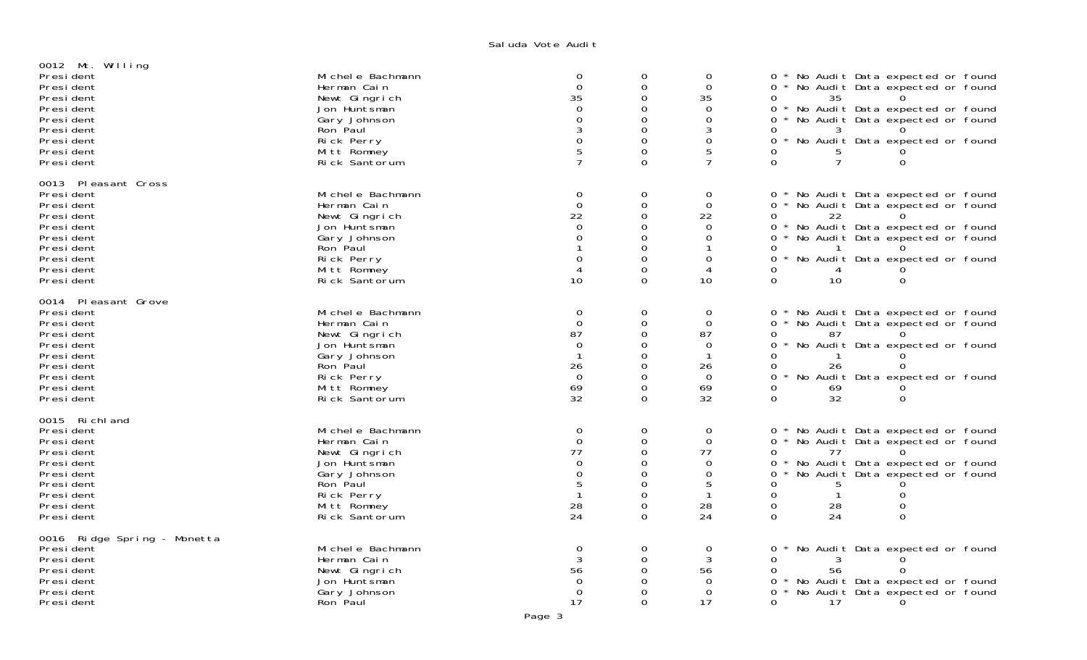## Saluda Vote Audi†

| 0012 Mt. Willing                 |                               |                             |                      |                      |                                                                         |  |
|----------------------------------|-------------------------------|-----------------------------|----------------------|----------------------|-------------------------------------------------------------------------|--|
| Presi dent                       | Mi chel e Bachmann            | $\boldsymbol{0}$            | 0                    | 0                    | 0 * No Audit Data expected or found                                     |  |
| Presi dent                       | Herman Cain                   | $\overline{O}$              | $\mathbf 0$          | $\overline{0}$       | No Audit Data expected or found<br>0 *                                  |  |
| President<br>Presi dent          | Newt Gingrich<br>Jon Huntsman | 35<br>$\Omega$              | $\Omega$<br>$\Omega$ | 35<br>$\Omega$       | 0<br>35<br>$0 *$<br>No Audit Data expected or found                     |  |
| Presi dent                       | Gary Johnson                  | $\Omega$                    | $\Omega$             | $\Omega$             | No Audit Data expected or found<br>$\Omega$                             |  |
| Presi dent                       | Ron Paul                      | 3                           | 0                    | 3                    | 0<br>3                                                                  |  |
| Presi dent                       | Rick Perry                    | $\Omega$                    | $\Omega$             | 0                    | ∩ *<br>No Audit Data expected or found                                  |  |
| President                        | Mitt Romney                   | 5                           | 0                    | 5                    | 0                                                                       |  |
| President                        | Rick Santorum                 | $\overline{7}$              | $\Omega$             | 7                    | $\Omega$<br>7<br>$\Omega$                                               |  |
| 0013 Pleasant Cross              |                               |                             |                      |                      |                                                                         |  |
| Presi dent                       | Mi chel e Bachmann            | 0                           | 0                    | $\mathbf 0$          | No Audit Data expected or found<br>0                                    |  |
| Presi dent                       | Herman Cain                   | $\Omega$                    | $\mathbf 0$          | $\Omega$             | No Audit Data expected or found<br>0 *                                  |  |
| Presi dent                       | Newt Gingrich                 | 22                          | $\Omega$             | 22                   | 0<br>22                                                                 |  |
| Presi dent                       | Jon Huntsman                  | $\Omega$                    | $\Omega$             | $\Omega$             | $0 *$<br>No Audit Data expected or found                                |  |
| President                        | Gary Johnson                  | ∩                           | $\Omega$             | 0                    | 0<br>No Audit Data expected or found                                    |  |
| Presi dent                       | Ron Paul                      | $\Omega$                    | 0<br>$\Omega$        |                      | 0<br>$0 *$                                                              |  |
| Presi dent<br>Presi dent         | Rick Perry<br>Mitt Romney     | $\boldsymbol{\vartriangle}$ | 0                    | 0<br>4               | No Audit Data expected or found<br>0<br>4                               |  |
| Presi dent                       | Rick Santorum                 | 10                          | $\Omega$             | 10                   | $\Omega$<br>10<br>$\Omega$                                              |  |
|                                  |                               |                             |                      |                      |                                                                         |  |
| 0014 Pleasant Grove<br>President | Mi chel e Bachmann            | $\mathbf 0$                 | 0                    | $\mathbf 0$          | 0                                                                       |  |
| President                        | Herman Cain                   | $\Omega$                    | $\mathbf 0$          | $\Omega$             | No Audit Data expected or found<br>No Audit Data expected or found<br>0 |  |
| Presi dent                       | Newt Gingrich                 | 87                          | 0                    | 87                   | 0<br>87                                                                 |  |
| Presi dent                       | Jon Huntsman                  | $\Omega$                    | $\Omega$             | 0                    | 0<br>No Audit Data expected or found                                    |  |
| Presi dent                       | Gary Johnson                  |                             | $\Omega$             | $\mathbf 1$          | 0                                                                       |  |
| President                        | Ron Paul                      | 26                          | $\Omega$             | 26                   | 26<br>0                                                                 |  |
| Presi dent                       | Rick Perry                    | $\Omega$                    | $\Omega$             | $\Omega$             | $\Omega$<br>No Audit Data expected or found                             |  |
| Presi dent                       | Mitt Romney                   | 69                          | $\mathbf 0$          | 69                   | 0<br>69                                                                 |  |
| Presi dent                       | Rick Santorum                 | 32                          | $\Omega$             | 32                   | 32<br>0<br>$\Omega$                                                     |  |
| 0015 Richland                    |                               |                             |                      |                      |                                                                         |  |
| President                        | Mi chel e Bachmann            | $\mathbf 0$                 | $\mathbf 0$          | $\mathbf 0$          | No Audit Data expected or found<br>$\Omega$                             |  |
| President                        | Herman Cain                   | $\mathbf{0}$<br>77          | $\mathbf 0$          | $\overline{0}$<br>77 | $0 *$<br>No Audit Data expected or found                                |  |
| Presi dent<br>Presi dent         | Newt Gingrich<br>Jon Huntsman | $\Omega$                    | $\Omega$<br>$\Omega$ | $\Omega$             | 0<br>77<br>No Audit Data expected or found<br>0                         |  |
| Presi dent                       | Gary Johnson                  | $\Omega$                    | $\Omega$             | $\Omega$             | No Audit Data expected or found<br>$\Omega$                             |  |
| Presi dent                       | Ron Paul                      | 5                           | $\Omega$             | 5                    | 0<br>.5                                                                 |  |
| President                        | Rick Perry                    |                             | $\Omega$             |                      | $\Omega$<br>0                                                           |  |
| President                        | Mitt Romney                   | 28                          | $\mathbf 0$          | 28                   | 0<br>28<br>0                                                            |  |
| Presi dent                       | Rick Santorum                 | 24                          | $\Omega$             | 24                   | $\Omega$<br>$\Omega$<br>24                                              |  |
| 0016 Ridge Spring - Monetta      |                               |                             |                      |                      |                                                                         |  |
| Presi dent                       | Mi chel e Bachmann            | $\mathbf 0$                 | 0                    | 0                    | No Audit Data expected or found<br>0                                    |  |
| Presi dent                       | Herman Cain                   |                             | $\Omega$             | 3                    | $\Omega$                                                                |  |
| Presi dent                       | Newt Gingrich                 | 56                          | $\Omega$             | 56                   | <sup>o</sup><br>56                                                      |  |
| Presi dent                       | Jon Huntsman                  | $\Omega$                    | $\Omega$             | $\Omega$             | No Audit Data expected or found<br>0                                    |  |
| Presi dent<br>Presi dent         | Gary Johnson<br>Ron Paul      | $\Omega$<br>17              | $\Omega$<br>$\Omega$ | $\Omega$<br>17       | No Audit Data expected or found<br>0<br>0<br>17<br>$\Omega$             |  |
|                                  |                               |                             |                      |                      |                                                                         |  |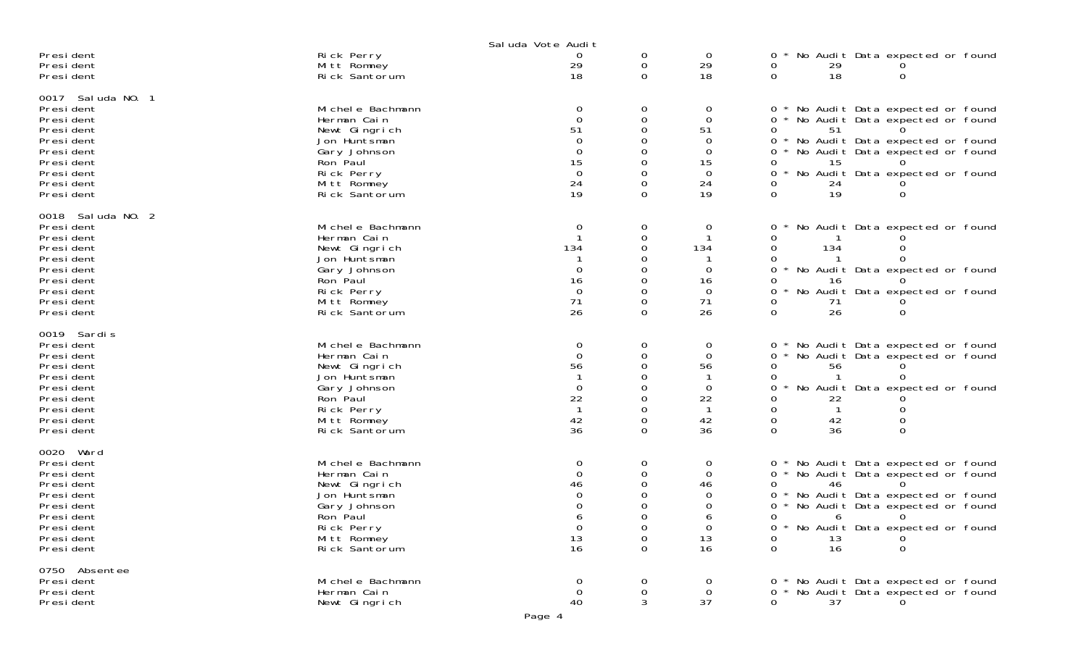|                                                                                                                                                  |                                                                                                                                              | Sal uda Vote Audit                                                              |                                           |                                                                          |                                                                                                                                                                                                                                                                         |
|--------------------------------------------------------------------------------------------------------------------------------------------------|----------------------------------------------------------------------------------------------------------------------------------------------|---------------------------------------------------------------------------------|-------------------------------------------|--------------------------------------------------------------------------|-------------------------------------------------------------------------------------------------------------------------------------------------------------------------------------------------------------------------------------------------------------------------|
| Presi dent<br>Presi dent<br>Presi dent                                                                                                           | Rick Perry<br>Mitt Romney<br>Rick Santorum                                                                                                   | 0<br>29<br>18                                                                   | 0<br>0<br>$\Omega$                        | $\overline{0}$<br>29<br>18                                               | No Audit Data expected or found<br>0<br>0<br>29<br>18<br>$\Omega$<br>$\Omega$                                                                                                                                                                                           |
| 0017 Sal uda NO. 1<br>Presi dent<br>Presi dent<br>President<br>Presi dent<br>Presi dent<br>Presi dent<br>Presi dent<br>Presi dent<br>Presi dent  | Mi chel e Bachmann<br>Herman Cain<br>Newt Gingrich<br>Jon Huntsman<br>Gary Johnson<br>Ron Paul<br>Rick Perry<br>Mitt Romney<br>Rick Santorum | 0<br>$\Omega$<br>51<br>$\Omega$<br>$\Omega$<br>15<br>$\overline{0}$<br>24<br>19 | 0<br>0<br>0<br>0<br>0<br>0<br>0<br>0      | 0<br>$\mathbf 0$<br>51<br>$\Omega$<br>0<br>15<br>$\mathbf 0$<br>24<br>19 | No Audit Data expected or found<br>0<br>0<br>No Audit Data expected or found<br>51<br>0<br>No Audit Data expected or found<br>0<br>No Audit Data expected or found<br>0<br>15<br>0<br>No Audit Data expected or found<br>0<br>24<br>0<br>19<br>0<br>$\Omega$            |
| 0018 Sal uda NO. 2<br>Presi dent<br>Presi dent<br>Presi dent<br>Presi dent<br>Presi dent<br>Presi dent<br>Presi dent<br>Presi dent<br>Presi dent | Mi chel e Bachmann<br>Herman Cain<br>Newt Gingrich<br>Jon Huntsman<br>Gary Johnson<br>Ron Paul<br>Rick Perry<br>Mitt Romney<br>Rick Santorum | 0<br>134<br>$\Omega$<br>16<br>$\overline{0}$<br>71<br>26                        | 0<br>0<br>0<br>O<br>0<br>0<br>0<br>0<br>0 | $\mathbf 0$<br>134<br>0<br>16<br>$\overline{0}$<br>71<br>26              | No Audit Data expected or found<br>0<br>0<br>0<br>134<br>No Audit Data expected or found<br>0<br>16<br>No Audit Data expected or found<br>0<br>71<br>0<br>26<br>$\Omega$<br>$\Omega$                                                                                    |
| 0019 Sardis<br>Presi dent<br>Presi dent<br>Presi dent<br>President<br>Presi dent<br>Presi dent<br>President<br>Presi dent<br>Presi dent          | Mi chel e Bachmann<br>Herman Cain<br>Newt Gingrich<br>Jon Huntsman<br>Gary Johnson<br>Ron Paul<br>Rick Perry<br>Mitt Romney<br>Rick Santorum | 0<br>$\Omega$<br>56<br>-1<br>$\Omega$<br>22<br>$\mathbf{1}$<br>42<br>36         | 0<br>0<br>0<br>0<br>0<br>0<br>0<br>0      | 0<br>0<br>56<br>0<br>22<br>-1<br>42<br>36                                | No Audit Data expected or found<br>0<br>No Audit Data expected or found<br>0<br>56<br>0<br>0<br>No Audit Data expected or found<br>0<br>22<br>0<br>42<br>36<br>$\Omega$<br>0                                                                                            |
| 0020 Ward<br>Presi dent<br>Presi dent<br>Presi dent<br>Presi dent<br>Presi dent<br>Presi dent<br>Presi dent<br>Presi dent<br>Presi dent          | Mi chel e Bachmann<br>Herman Cain<br>Newt Gingrich<br>Jon Huntsman<br>Gary Johnson<br>Ron Paul<br>Rick Perry<br>Mitt Romney<br>Rick Santorum | 0<br>$\Omega$<br>46<br>$\mathbf 0$<br>13<br>16                                  | 0<br>0<br>0<br>0<br>0<br>0                | 0<br>0<br>46<br>0<br>$\mathbf 0$<br>13<br>16                             | No Audit Data expected or found<br>$\mathbf{O}$<br>0 * No Audit Data expected or found<br>46<br>No Audit Data expected or found<br>0<br>No Audit Data expected or found<br>0<br>$\Omega$<br>6<br>No Audit Data expected or found<br>0<br>0<br>13<br>16<br>0<br>$\Omega$ |
| 0750 Absentee<br>Presi dent<br>Presi dent<br>Presi dent                                                                                          | Mi chel e Bachmann<br>Herman Cain<br>Newt Gingrich                                                                                           | 0<br>$\mathbf 0$<br>40                                                          | 0<br>0<br>3                               | 0<br>$\overline{0}$<br>37                                                | * No Audit Data expected or found<br>0<br>No Audit Data expected or found<br>37<br>$\Omega$                                                                                                                                                                             |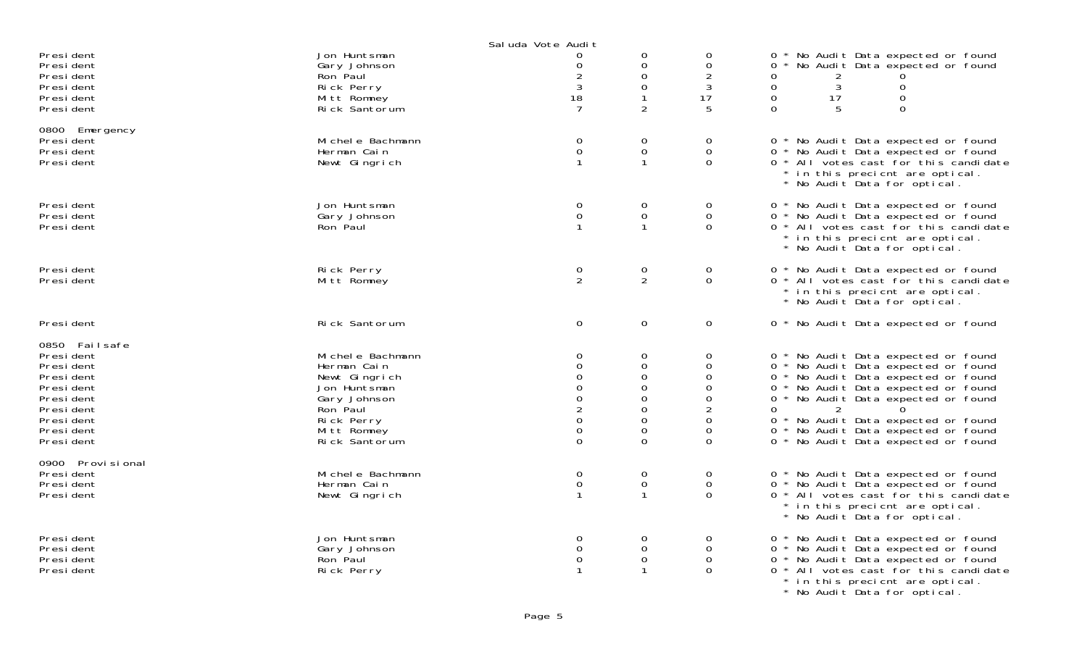|                                                                                                                                    |                                                                                                                                              | Sal uda Vote Audit                                                                                 |                                                                                                                               |                                                                                 |                                                                                                                                                                                                                                                                                                                                            |
|------------------------------------------------------------------------------------------------------------------------------------|----------------------------------------------------------------------------------------------------------------------------------------------|----------------------------------------------------------------------------------------------------|-------------------------------------------------------------------------------------------------------------------------------|---------------------------------------------------------------------------------|--------------------------------------------------------------------------------------------------------------------------------------------------------------------------------------------------------------------------------------------------------------------------------------------------------------------------------------------|
| Presi dent<br>President<br>President<br>President<br>Presi dent<br>President                                                       | Jon Huntsman<br>Gary Johnson<br>Ron Paul<br>Rick Perry<br>Mitt Romney<br>Rick Santorum                                                       | 0<br>0<br>$\overline{c}$<br>$\mathbf{3}$<br>18<br>7                                                | 0<br>$\mathsf{O}\xspace$<br>$\mathbf 0$<br>$\mathsf{O}\xspace$<br>$\overline{2}$                                              | 0<br>0<br>$\overline{2}$<br>$\sqrt{3}$<br>17<br>5                               | No Audit Data expected or found<br>$\Omega$<br>No Audit Data expected or found<br>0<br>0<br>2<br>3<br>$\overline{0}$<br>$\mathbf{O}$<br>$\mathbf 0$<br>17<br>$\mathbf 0$<br>$\mathbf 0$<br>5<br>$\Omega$                                                                                                                                   |
| 0800 Emergency<br>Presi dent<br>President<br>Presi dent                                                                            | Mi chel e Bachmann<br>Herman Cain<br>Newt Gingrich                                                                                           | 0<br>$\mathsf{O}\xspace$<br>$\mathbf{1}$                                                           | $\mathbf 0$<br>$\mathsf{O}\xspace$<br>$\mathbf{1}$                                                                            | 0<br>$\mathsf{O}$<br>$\overline{0}$                                             | 0 * No Audit Data expected or found<br>0 * No Audit Data expected or found<br>0 * All votes cast for this candidate<br>* in this precient are optical.<br>* No Audit Data for optical.                                                                                                                                                     |
| Presi dent<br>Presi dent<br>President                                                                                              | Jon Huntsman<br>Gary Johnson<br>Ron Paul                                                                                                     | 0<br>$\mathsf{O}\xspace$                                                                           | $\mathsf{O}\xspace$<br>$\mathsf{O}\xspace$<br>1                                                                               | 0<br>$\mathbf 0$<br>$\mathbf 0$                                                 | 0 * No Audit Data expected or found<br>0 * No Audit Data expected or found<br>0 * All votes cast for this candidate<br>* in this precient are optical.<br>* No Audit Data for optical.                                                                                                                                                     |
| President<br>Presi dent                                                                                                            | Rick Perry<br>Mitt Romney                                                                                                                    | 0<br>$\overline{2}$                                                                                | $\mathbf 0$<br>$\overline{2}$                                                                                                 | 0<br>$\Omega$                                                                   | 0 * No Audit Data expected or found<br>0 * All votes cast for this candidate<br>* in this precient are optical.<br>* No Audit Data for optical.                                                                                                                                                                                            |
| Presi dent                                                                                                                         | Rick Santorum                                                                                                                                | $\Omega$                                                                                           | $\mathbf 0$                                                                                                                   | $\mathbf 0$                                                                     | 0 * No Audit Data expected or found                                                                                                                                                                                                                                                                                                        |
| 0850 Failsafe<br>President<br>President<br>President<br>President<br>President<br>President<br>President<br>President<br>President | Mi chel e Bachmann<br>Herman Cain<br>Newt Gingrich<br>Jon Huntsman<br>Gary Johnson<br>Ron Paul<br>Rick Perry<br>Mitt Romney<br>Rick Santorum | 0<br>0<br>0<br>$\mathbf 0$<br>$\Omega$<br>$\overline{2}$<br>$\mathbf 0$<br>$\mathbf 0$<br>$\Omega$ | 0<br>0<br>$\mathbf 0$<br>$\mathsf{O}\xspace$<br>$\Omega$<br>$\mathbf 0$<br>$\mathbf 0$<br>$\mathsf{O}\xspace$<br>$\mathbf{O}$ | 0<br>0<br>0<br>0<br>$\Omega$<br>$\overline{2}$<br>$\mathsf{O}$<br>0<br>$\Omega$ | 0 * No Audit Data expected or found<br>0 * No Audit Data expected or found<br>0 * No Audit Data expected or found<br>0 * No Audit Data expected or found<br>0 * No Audit Data expected or found<br>$\Omega$<br>2<br>0 * No Audit Data expected or found<br>No Audit Data expected or found<br>$0 *$<br>0 * No Audit Data expected or found |
| 0900 Provi si onal<br>President<br>President<br>President                                                                          | Mi chel e Bachmann<br>Herman Cain<br>Newt Gingrich                                                                                           | 0<br>$\mathsf{O}\xspace$<br>$\mathbf{1}$                                                           | $\mathbf 0$<br>$\mathsf{O}\xspace$<br>$\mathbf{1}$                                                                            | 0<br>$\Omega$<br>$\mathbf 0$                                                    | 0 * No Audit Data expected or found<br>0 * No Audit Data expected or found<br>0 * All votes cast for this candidate<br>* in this precient are optical.<br>* No Audit Data for optical.                                                                                                                                                     |
| Presi dent<br>President<br>President<br>Presi dent                                                                                 | Jon Huntsman<br>Gary Johnson<br>Ron Paul<br>Rick Perry                                                                                       | 0<br>0<br>$\boldsymbol{0}$                                                                         | $\mathbf 0$<br>$\mathbf 0$<br>$\mbox{O}$<br>$\mathbf{1}$                                                                      | 0<br>0<br>$\Omega$<br>$\Omega$                                                  | 0 * No Audit Data expected or found<br>0 * No Audit Data expected or found<br>0 * No Audit Data expected or found<br>0 * All votes cast for this candidate<br>* in this precient are optical.<br>* No Audit Data for optical.                                                                                                              |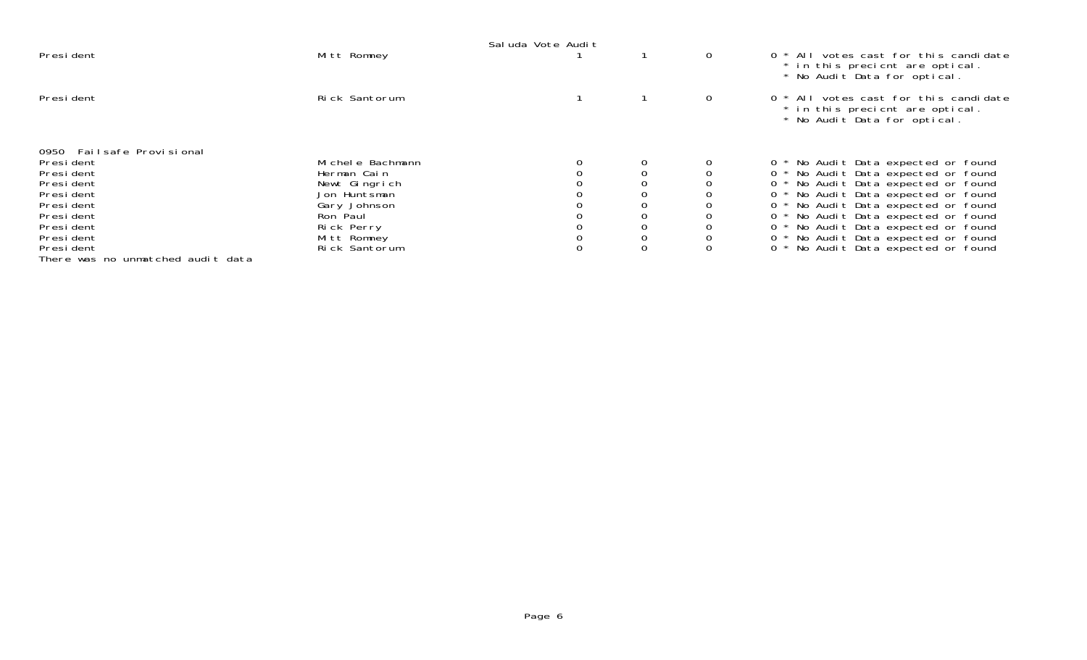|                                   |                  | Sal uda Vote Audit |             |   |                                                                                                            |
|-----------------------------------|------------------|--------------------|-------------|---|------------------------------------------------------------------------------------------------------------|
| President                         | Mitt Romney      |                    |             | 0 | $0 * All$ votes cast for this candidate<br>* in this precient are optical.<br>* No Audit Data for optical. |
| President                         | Rick Santorum    |                    |             | 0 | 0 * All votes cast for this candidate<br>* in this precient are optical.<br>* No Audit Data for optical.   |
| 0950 Failsafe Provisional         |                  |                    |             |   |                                                                                                            |
| President                         | Michele Bachmann |                    | 0           |   | 0 * No Audit Data expected or found                                                                        |
| President                         | Herman Cain      |                    |             |   | 0 * No Audit Data expected or found                                                                        |
| President                         | Newt Gingrich    |                    |             |   | No Audit Data expected or found                                                                            |
| President                         | Jon Huntsman     |                    | 0           |   | No Audit Data expected or found                                                                            |
| President                         | Gary Johnson     |                    | 0           |   | No Audit Data expected or found                                                                            |
| Presi dent                        | Ron Paul         |                    |             |   | No Audit Data expected or found                                                                            |
| President                         | Rick Perry       |                    | 0           |   | No Audit Data expected or found                                                                            |
| President                         | Mitt Romney      |                    | $\mathbf 0$ |   | No Audit Data expected or found                                                                            |
| President                         | Rick Santorum    |                    | $\mathbf 0$ |   | No Audit Data expected or found                                                                            |
| There was no unmatched audit data |                  |                    |             |   |                                                                                                            |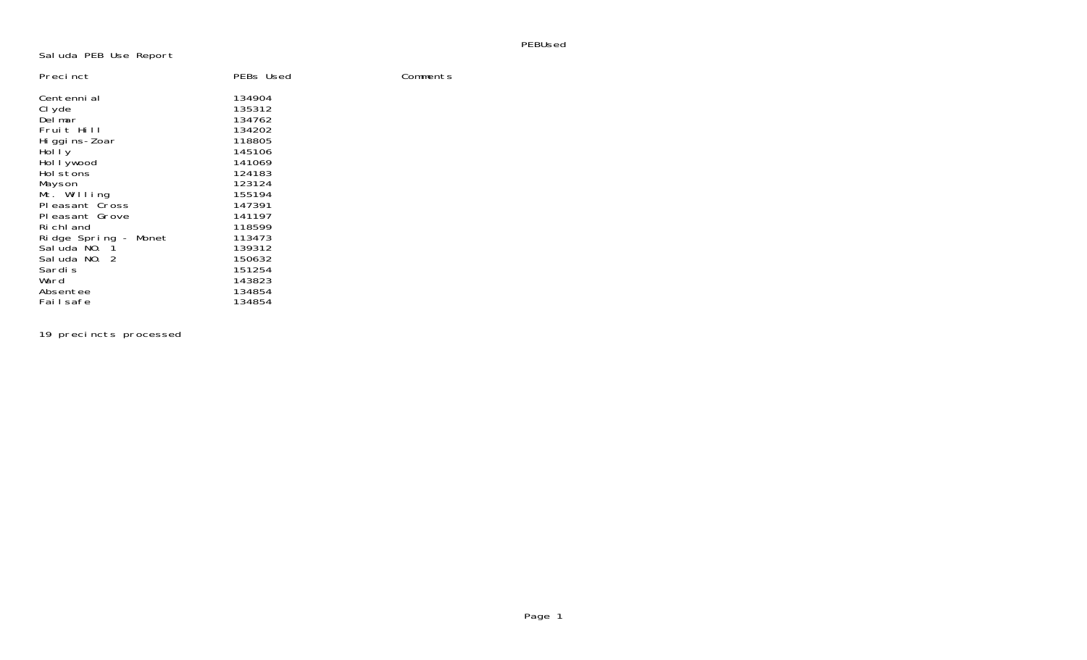## PEBUsed

## Saluda PEB Use Report

| Precinct             | PEBs Used | Comments |
|----------------------|-----------|----------|
| Centenni al          | 134904    |          |
| CI yde               | 135312    |          |
| Delmar               | 134762    |          |
| Fruit Hill           | 134202    |          |
| Hi ggi ns-Zoar       | 118805    |          |
| Hol I y              | 145106    |          |
| Hol I ywood          | 141069    |          |
| Holstons             | 124183    |          |
| Mayson               | 123124    |          |
| Mt. Willing          | 155194    |          |
| Pleasant Cross       | 147391    |          |
| Pleasant Grove       | 141197    |          |
| Ri chl and           | 118599    |          |
| Ridge Spring - Monet | 113473    |          |
| Saluda NO. 1         | 139312    |          |
| Sal uda NO. 2        | 150632    |          |
| Sardi s              | 151254    |          |
| Ward                 | 143823    |          |
| Absentee             | 134854    |          |
| Failsafe             | 134854    |          |

19 precincts processed